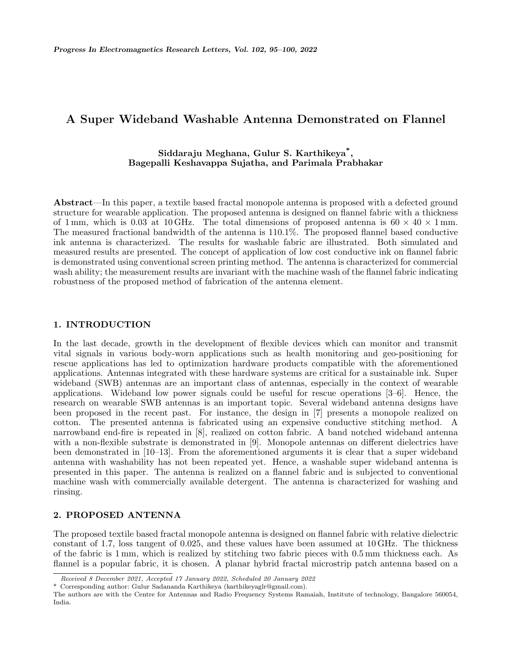# **A Super Wideband Washable Antenna Demonstrated on Flannel**

## **Siddaraju Meghana, Gulur S. Karthikeya\* , Bagepalli Keshavappa Sujatha, and Parimala Prabhakar**

**Abstract**—In this paper, a textile based fractal monopole antenna is proposed with a defected ground structure for wearable application. The proposed antenna is designed on flannel fabric with a thickness of 1 mm, which is 0.03 at 10 GHz. The total dimensions of proposed antenna is  $60 \times 40 \times 1$  mm. The measured fractional bandwidth of the antenna is 110.1%. The proposed flannel based conductive ink antenna is characterized. The results for washable fabric are illustrated. Both simulated and measured results are presented. The concept of application of low cost conductive ink on flannel fabric is demonstrated using conventional screen printing method. The antenna is characterized for commercial wash ability; the measurement results are invariant with the machine wash of the flannel fabric indicating robustness of the proposed method of fabrication of the antenna element.

### **1. INTRODUCTION**

In the last decade, growth in the development of flexible devices which can monitor and transmit vital signals in various body-worn applications such as health monitoring and geo-positioning for rescue applications has led to optimization hardware products compatible with the aforementioned applications. Antennas integrated with these hardware systems are critical for a sustainable ink. Super wideband (SWB) antennas are an important class of antennas, especially in the context of wearable applications. Wideband low power signals could be useful for rescue operations [3–6]. Hence, the research on wearable SWB antennas is an important topic. Several wideband antenna designs have been proposed in the recent past. For instance, the design in [7] presents a monopole realized on cotton. The presented antenna is fabricated using an expensive conductive stitching method. A narrowband end-fire is repeated in [8], realized on cotton fabric. A band notched wideband antenna with a non-flexible substrate is demonstrated in [9]. Monopole antennas on different dielectrics have been demonstrated in [10–13]. From the aforementioned arguments it is clear that a super wideband antenna with washability has not been repeated yet. Hence, a washable super wideband antenna is presented in this paper. The antenna is realized on a flannel fabric and is subjected to conventional machine wash with commercially available detergent. The antenna is characterized for washing and rinsing.

## **2. PROPOSED ANTENNA**

The proposed textile based fractal monopole antenna is designed on flannel fabric with relative dielectric constant of 1.7, loss tangent of 0.025, and these values have been assumed at 10 GHz. The thickness of the fabric is 1 mm, which is realized by stitching two fabric pieces with 0.5 mm thickness each. As flannel is a popular fabric, it is chosen. A planar hybrid fractal microstrip patch antenna based on a

*Received 8 December 2021, Accepted 17 January 2022, Scheduled 20 January 2022*

<sup>\*</sup> Corresponding author: Gulur Sadananda Karthikeya (karthikeyaglr@gmail.com).

The authors are with the Centre for Antennas and Radio Frequency Systems Ramaiah, Institute of technology, Bangalore 560054, India.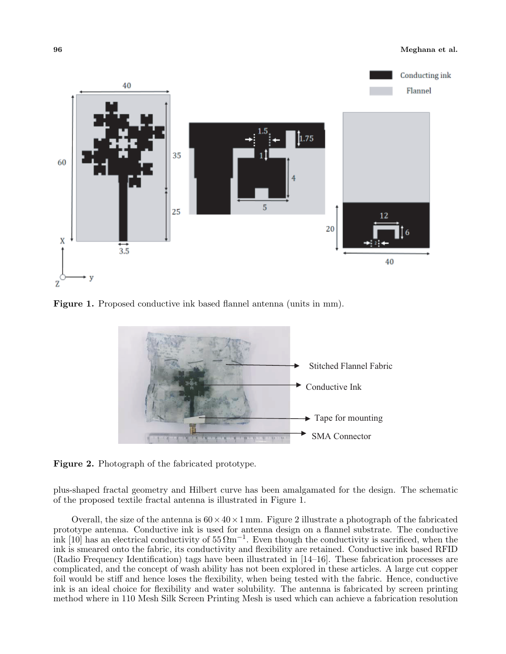

Figure 1. Proposed conductive ink based flannel antenna (units in mm).



**Figure 2.** Photograph of the fabricated prototype.

plus-shaped fractal geometry and Hilbert curve has been amalgamated for the design. The schematic of the proposed textile fractal antenna is illustrated in Figure 1.

Overall, the size of the antenna is  $60 \times 40 \times 1$  mm. Figure 2 illustrate a photograph of the fabricated prototype antenna. Conductive ink is used for antenna design on a flannel substrate. The conductive ink [10] has an electrical conductivity of 55 Ωm*−*<sup>1</sup> . Even though the conductivity is sacrificed, when the ink is smeared onto the fabric, its conductivity and flexibility are retained. Conductive ink based RFID (Radio Frequency Identification) tags have been illustrated in [14–16]. These fabrication processes are complicated, and the concept of wash ability has not been explored in these articles. A large cut copper foil would be stiff and hence loses the flexibility, when being tested with the fabric. Hence, conductive ink is an ideal choice for flexibility and water solubility. The antenna is fabricated by screen printing method where in 110 Mesh Silk Screen Printing Mesh is used which can achieve a fabrication resolution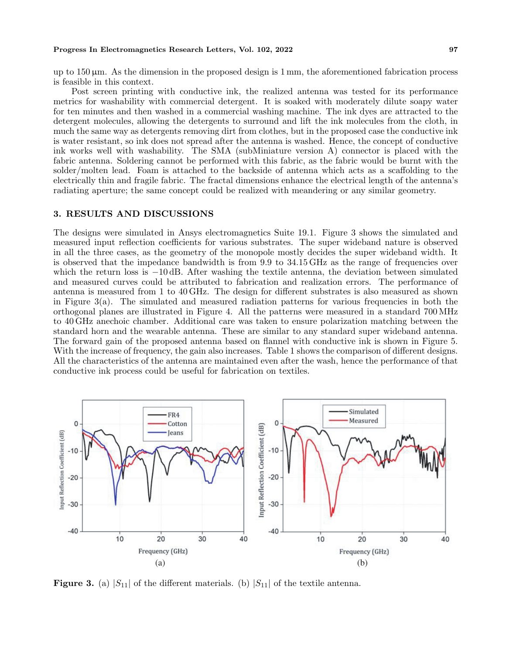#### **Progress In Electromagnetics Research Letters, Vol. 102, 2022 97**

up to  $150 \,\mu \text{m}$ . As the dimension in the proposed design is  $1 \,\text{mm}$ , the aforementioned fabrication process is feasible in this context.

Post screen printing with conductive ink, the realized antenna was tested for its performance metrics for washability with commercial detergent. It is soaked with moderately dilute soapy water for ten minutes and then washed in a commercial washing machine. The ink dyes are attracted to the detergent molecules, allowing the detergents to surround and lift the ink molecules from the cloth, in much the same way as detergents removing dirt from clothes, but in the proposed case the conductive ink is water resistant, so ink does not spread after the antenna is washed. Hence, the concept of conductive ink works well with washability. The SMA (subMiniature version A) connector is placed with the fabric antenna. Soldering cannot be performed with this fabric, as the fabric would be burnt with the solder/molten lead. Foam is attached to the backside of antenna which acts as a scaffolding to the electrically thin and fragile fabric. The fractal dimensions enhance the electrical length of the antenna's radiating aperture; the same concept could be realized with meandering or any similar geometry.

## **3. RESULTS AND DISCUSSIONS**

The designs were simulated in Ansys electromagnetics Suite 19.1. Figure 3 shows the simulated and measured input reflection coefficients for various substrates. The super wideband nature is observed in all the three cases, as the geometry of the monopole mostly decides the super wideband width. It is observed that the impedance bandwidth is from 9.9 to 34.15 GHz as the range of frequencies over which the return loss is *−*10 dB. After washing the textile antenna, the deviation between simulated and measured curves could be attributed to fabrication and realization errors. The performance of antenna is measured from 1 to 40 GHz. The design for different substrates is also measured as shown in Figure 3(a). The simulated and measured radiation patterns for various frequencies in both the orthogonal planes are illustrated in Figure 4. All the patterns were measured in a standard 700 MHz to 40 GHz anechoic chamber. Additional care was taken to ensure polarization matching between the standard horn and the wearable antenna. These are similar to any standard super wideband antenna. The forward gain of the proposed antenna based on flannel with conductive ink is shown in Figure 5. With the increase of frequency, the gain also increases. Table 1 shows the comparison of different designs. All the characteristics of the antenna are maintained even after the wash, hence the performance of that conductive ink process could be useful for fabrication on textiles.



**Figure 3.** (a)  $|S_{11}|$  of the different materials. (b)  $|S_{11}|$  of the textile antenna.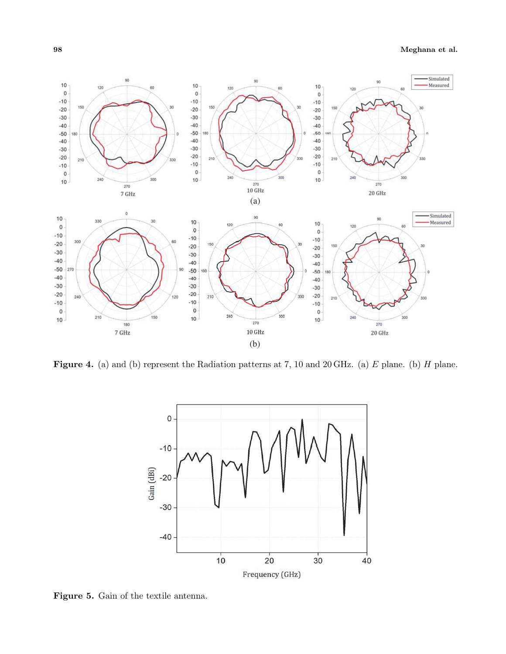## **98 Meghana et al.**



**Figure 4.** (a) and (b) represent the Radiation patterns at 7, 10 and 20 GHz. (a) *E* plane. (b) *H* plane.



**Figure 5.** Gain of the textile antenna.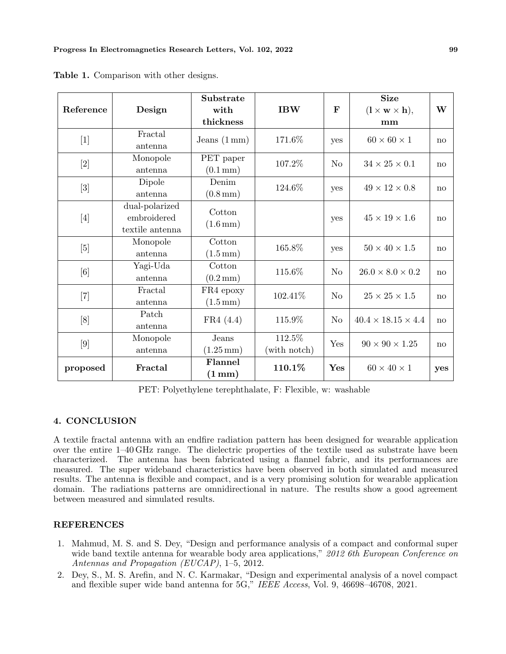| Reference | Design                                           | Substrate<br>with<br>thickness                      | <b>IBW</b>             | $\mathbf F$    | <b>Size</b><br>$(1 \times w \times h),$<br>mm | W   |
|-----------|--------------------------------------------------|-----------------------------------------------------|------------------------|----------------|-----------------------------------------------|-----|
| $[1]$     | Fractal<br>antenna                               | Jeans $(1 \text{ mm})$                              | 171.6%                 | yes            | $60 \times 60 \times 1$                       | no  |
| $[2]$     | Monopole<br>antenna                              | $\operatorname{PET}$ paper<br>$(0.1 \,\mathrm{mm})$ | 107.2\%                | N <sub>o</sub> | $34 \times 25 \times 0.1$                     | no  |
| $[3]$     | Dipole<br>antenna                                | Denim<br>$(0.8 \,\mathrm{mm})$                      | 124.6%                 | yes            | $49 \times 12 \times 0.8$                     | no  |
| [4]       | dual-polarized<br>embroidered<br>textile antenna | Cotton<br>$(1.6 \,\mathrm{mm})$                     |                        | yes            | $45 \times 19 \times 1.6$                     | no  |
| [5]       | Monopole<br>antenna                              | Cotton<br>$(1.5 \,\mathrm{mm})$                     | 165.8%                 | yes            | $50 \times 40 \times 1.5$                     | no  |
| [6]       | Yagi-Uda<br>antenna                              | Cotton<br>$(0.2 \,\mathrm{mm})$                     | 115.6%                 | No             | $26.0 \times 8.0 \times 0.2$                  | no  |
| $[7]$     | Fractal<br>antenna                               | ${\rm FR4}$ epoxy<br>$(1.5 \,\mathrm{mm})$          | 102.41\%               | N <sub>o</sub> | $25 \times 25 \times 1.5$                     | no  |
| [8]       | Patch<br>antenna                                 | FR4(4.4)                                            | 115.9%                 | N <sub>o</sub> | $40.4 \times 18.15 \times 4.4$                | no  |
| [9]       | Monopole<br>antenna                              | Jeans<br>$(1.25 \,\mathrm{mm})$                     | 112.5%<br>(with notch) | Yes            | $90 \times 90 \times 1.25$                    | no  |
| proposed  | Fractal                                          | Flannel<br>$(1 \,\mathrm{mm})$                      | 110.1%                 | Yes            | $60 \times 40 \times 1$                       | yes |

**Table 1.** Comparison with other designs.

PET: Polyethylene terephthalate, F: Flexible, w: washable

## **4. CONCLUSION**

A textile fractal antenna with an endfire radiation pattern has been designed for wearable application over the entire 1–40 GHz range. The dielectric properties of the textile used as substrate have been characterized. The antenna has been fabricated using a flannel fabric, and its performances are measured. The super wideband characteristics have been observed in both simulated and measured results. The antenna is flexible and compact, and is a very promising solution for wearable application domain. The radiations patterns are omnidirectional in nature. The results show a good agreement between measured and simulated results.

## **REFERENCES**

- 1. Mahmud, M. S. and S. Dey, "Design and performance analysis of a compact and conformal super wide band textile antenna for wearable body area applications," *2012 6th European Conference on Antennas and Propagation (EUCAP)*, 1–5, 2012.
- 2. Dey, S., M. S. Arefin, and N. C. Karmakar, "Design and experimental analysis of a novel compact and flexible super wide band antenna for 5G," *IEEE Access*, Vol. 9, 46698–46708, 2021.